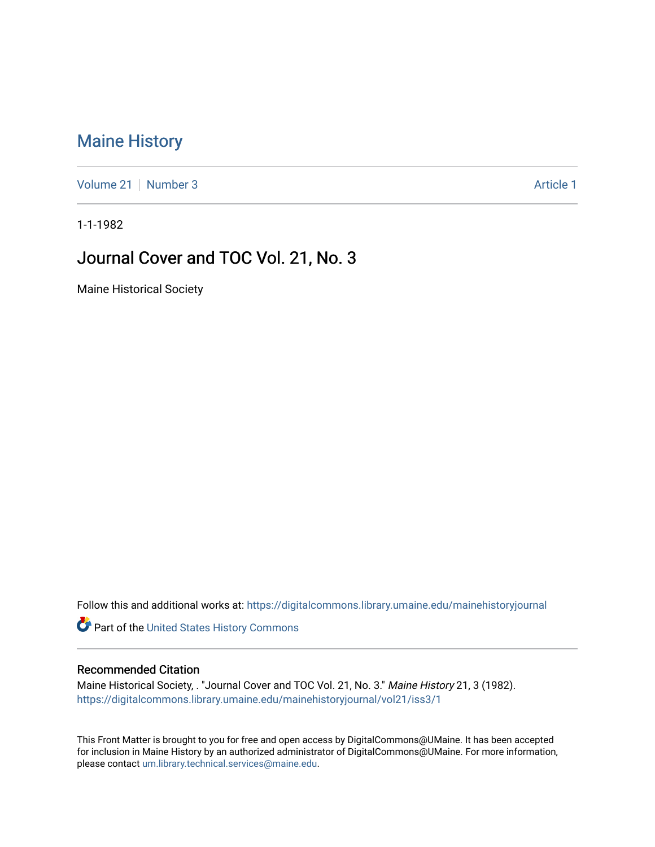## [Maine History](https://digitalcommons.library.umaine.edu/mainehistoryjournal)

[Volume 21](https://digitalcommons.library.umaine.edu/mainehistoryjournal/vol21) | [Number 3](https://digitalcommons.library.umaine.edu/mainehistoryjournal/vol21/iss3) Article 1

1-1-1982

### Journal Cover and TOC Vol. 21, No. 3

Maine Historical Society

Follow this and additional works at: [https://digitalcommons.library.umaine.edu/mainehistoryjournal](https://digitalcommons.library.umaine.edu/mainehistoryjournal?utm_source=digitalcommons.library.umaine.edu%2Fmainehistoryjournal%2Fvol21%2Fiss3%2F1&utm_medium=PDF&utm_campaign=PDFCoverPages) 

Part of the [United States History Commons](http://network.bepress.com/hgg/discipline/495?utm_source=digitalcommons.library.umaine.edu%2Fmainehistoryjournal%2Fvol21%2Fiss3%2F1&utm_medium=PDF&utm_campaign=PDFCoverPages) 

#### Recommended Citation

Maine Historical Society, . "Journal Cover and TOC Vol. 21, No. 3." Maine History 21, 3 (1982). [https://digitalcommons.library.umaine.edu/mainehistoryjournal/vol21/iss3/1](https://digitalcommons.library.umaine.edu/mainehistoryjournal/vol21/iss3/1?utm_source=digitalcommons.library.umaine.edu%2Fmainehistoryjournal%2Fvol21%2Fiss3%2F1&utm_medium=PDF&utm_campaign=PDFCoverPages)

This Front Matter is brought to you for free and open access by DigitalCommons@UMaine. It has been accepted for inclusion in Maine History by an authorized administrator of DigitalCommons@UMaine. For more information, please contact [um.library.technical.services@maine.edu.](mailto:um.library.technical.services@maine.edu)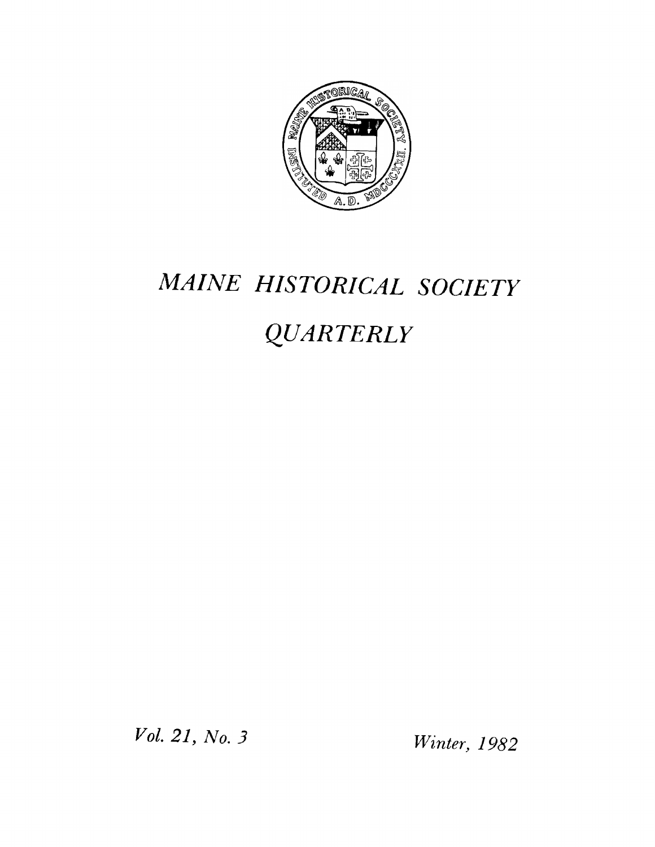

# *MAINE HISTORICAL SOCIETY*

# *QUARTERLY*

*Vol. 21, No. 3 Winter, 1982*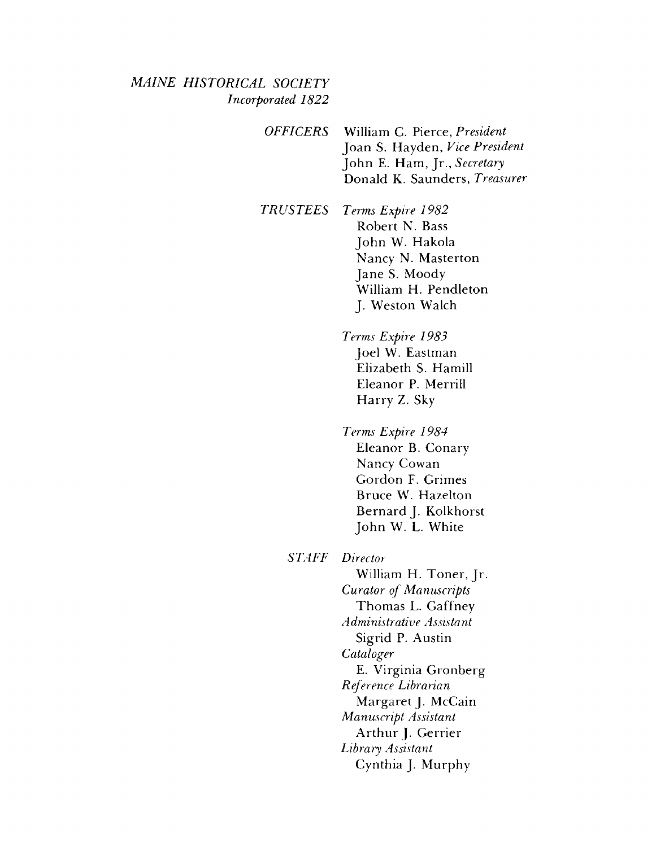#### *MAINE HISTORICAL SOCIETY Incorporated 1822*

*OFFICERS* William C. Pierce, *President* Joan S. Hayden, *Vice President* John E. Ham, Jr., *Secretary* Donald K. Saunders, *Treasurer*

*TR US TEES Terms Expire 1982* Robert N. Bass John W. Hakola Nancy N. Masterton Jane S. Moody William H. Pendleton J. Weston Walch

> *Terms Expire 1983* Joel W. Eastman Elizabeth S. Hamill Eleanor P. Merrill Harry Z. Sky

*Terms Expire 1984* Eleanor B. Conary Nancy Cowan Gordon F. Grimes Bruce W. Hazelton Bernard J. Kolkhorst John W. L. White

*STAFF Director*

William H. Toner, Jr. *Curator of Manuscripts* Thomas L. Gaffney *Administrative Assistant* Sigrid P. Austin *Cataloger* E. Virginia Gronberg *Reference Librarian* Margaret J. McCain *Manuscript Assistant* Arthur J. Gerrier *Library Assistant* Cynthia J. Murphy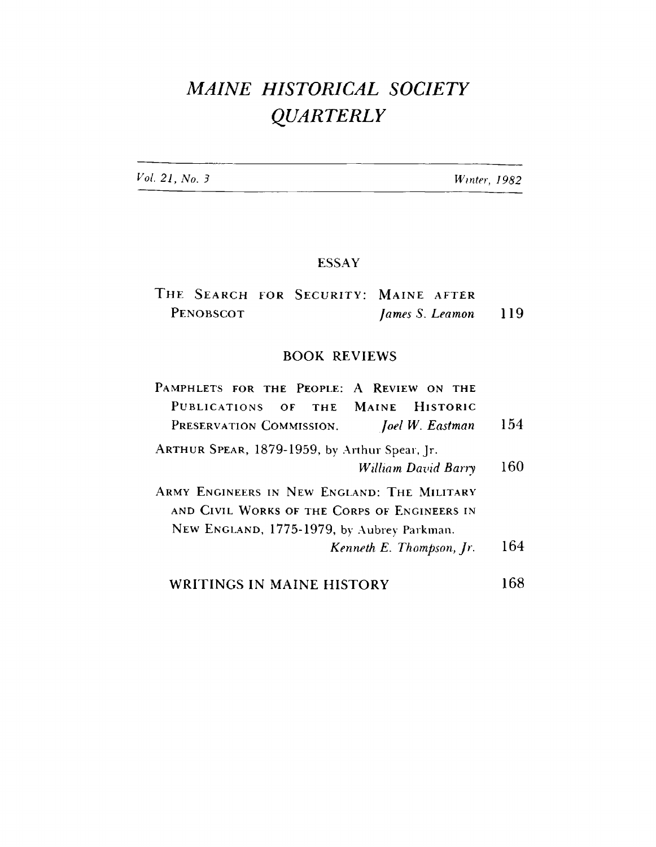# *MAINE HISTORICAL SOCIETY QUARTERLY*

*Vol 21, No. 3 Winter, 1982*

#### ESSAY

|           |  |  | THE SEARCH FOR SECURITY: MAINE AFTER |                     |  |
|-----------|--|--|--------------------------------------|---------------------|--|
| PENOBSCOT |  |  |                                      | James S. Leamon 119 |  |

#### BOOK REVIEWS

| PAMPHLETS FOR THE PEOPLE: A REVIEW ON THE     |     |
|-----------------------------------------------|-----|
| PUBLICATIONS OF THE MAINE HISTORIC            |     |
| PRESERVATION COMMISSION. Joel W. Eastman      | 154 |
| ARTHUR SPEAR, 1879-1959, by Arthur Spear, Jr. |     |
| William David Barry                           | 160 |
| ARMY ENGINEERS IN NEW ENGLAND: THE MILITARY   |     |
| AND CIVIL WORKS OF THE CORPS OF ENGINEERS IN  |     |
| NEW ENGLAND, 1775-1979, by Aubrey Parkman.    |     |
| Kenneth E. Thompson, Jr.                      | 164 |
| WRITINGS IN MAINE HISTORY                     |     |